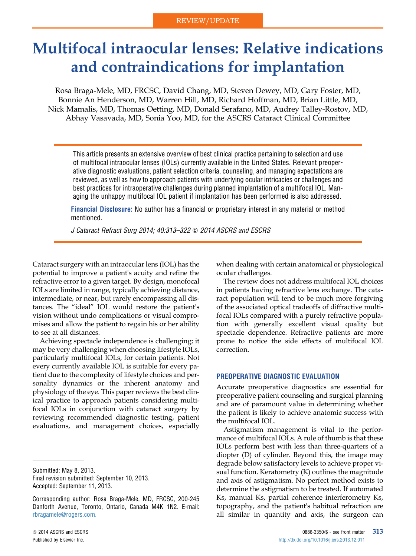# Multifocal intraocular lenses: Relative indications and contraindications for implantation

Rosa Braga-Mele, MD, FRCSC, David Chang, MD, Steven Dewey, MD, Gary Foster, MD, Bonnie An Henderson, MD, Warren Hill, MD, Richard Hoffman, MD, Brian Little, MD, Nick Mamalis, MD, Thomas Oetting, MD, Donald Serafano, MD, Audrey Talley-Rostov, MD, Abhay Vasavada, MD, Sonia Yoo, MD, for the ASCRS Cataract Clinical Committee

This article presents an extensive overview of best clinical practice pertaining to selection and use of multifocal intraocular lenses (IOLs) currently available in the United States. Relevant preoperative diagnostic evaluations, patient selection criteria, counseling, and managing expectations are reviewed, as well as how to approach patients with underlying ocular intricacies or challenges and best practices for intraoperative challenges during planned implantation of a multifocal IOL. Managing the unhappy multifocal IOL patient if implantation has been performed is also addressed.

Financial Disclosure: No author has a financial or proprietary interest in any material or method mentioned.

J Cataract Refract Surg 2014; 40:313–322  $\odot$  2014 ASCRS and ESCRS

Cataract surgery with an intraocular lens (IOL) has the potential to improve a patient's acuity and refine the refractive error to a given target. By design, monofocal IOLs are limited in range, typically achieving distance, intermediate, or near, but rarely encompassing all distances. The "ideal" IOL would restore the patient's vision without undo complications or visual compromises and allow the patient to regain his or her ability to see at all distances.

Achieving spectacle independence is challenging; it may be very challenging when choosing lifestyle IOLs, particularly multifocal IOLs, for certain patients. Not every currently available IOL is suitable for every patient due to the complexity of lifestyle choices and personality dynamics or the inherent anatomy and physiology of the eye. This paper reviews the best clinical practice to approach patients considering multifocal IOLs in conjunction with cataract surgery by reviewing recommended diagnostic testing, patient evaluations, and management choices, especially

Final revision submitted: September 10, 2013. Accepted: September 11, 2013.

when dealing with certain anatomical or physiological ocular challenges.

The review does not address multifocal IOL choices in patients having refractive lens exchange. The cataract population will tend to be much more forgiving of the associated optical tradeoffs of diffractive multifocal IOLs compared with a purely refractive population with generally excellent visual quality but spectacle dependence. Refractive patients are more prone to notice the side effects of multifocal IOL correction.

## PREOPERATIVE DIAGNOSTIC EVALUATION

Accurate preoperative diagnostics are essential for preoperative patient counseling and surgical planning and are of paramount value in determining whether the patient is likely to achieve anatomic success with the multifocal IOL.

Astigmatism management is vital to the performance of multifocal IOLs. A rule of thumb is that these IOLs perform best with less than three-quarters of a diopter (D) of cylinder. Beyond this, the image may degrade below satisfactory levels to achieve proper visual function. Keratometry (K) outlines the magnitude and axis of astigmatism. No perfect method exists to determine the astigmatism to be treated. If automated Ks, manual Ks, partial coherence interferometry Ks, topography, and the patient's habitual refraction are all similar in quantity and axis, the surgeon can

Submitted: May 8, 2013.

Corresponding author: Rosa Braga-Mele, MD, FRCSC, 200-245 Danforth Avenue, Toronto, Ontario, Canada M4K 1N2. E-mail: [rbragamele@rogers.com.](mailto:rbragamele@rogers.com)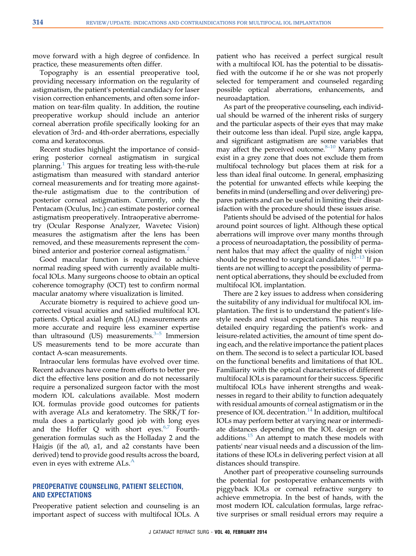move forward with a high degree of confidence. In practice, these measurements often differ.

Topography is an essential preoperative tool, providing necessary information on the regularity of astigmatism, the patient's potential candidacy for laser vision correction enhancements, and often some information on tear-film quality. In addition, the routine preoperative workup should include an anterior corneal aberration profile specifically looking for an elevation of 3rd- and 4th-order aberrations, especially coma and keratoconus.

Recent studies highlight the importance of considering posterior corneal astigmatism in surgical planning.<sup>[1](#page-7-0)</sup> This argues for treating less with-the-rule astigmatism than measured with standard anterior corneal measurements and for treating more againstthe-rule astigmatism due to the contribution of posterior corneal astigmatism. Currently, only the Pentacam (Oculus, Inc.) can estimate posterior corneal astigmatism preoperatively. Intraoperative aberrometry (Ocular Response Analyzer, Wavetec Vision) measures the astigmatism after the lens has been removed, and these measurements represent the com-bined anterior and posterior corneal astigmatism.<sup>[2](#page-7-0)</sup>

Good macular function is required to achieve normal reading speed with currently available multifocal IOLs. Many surgeons choose to obtain an optical coherence tomography (OCT) test to confirm normal macular anatomy where visualization is limited.

Accurate biometry is required to achieve good uncorrected visual acuities and satisfied multifocal IOL patients. Optical axial length (AL) measurements are more accurate and require less examiner expertise than ultrasound (US) measurements. $3-5$  $3-5$  Immersion US measurements tend to be more accurate than contact A-scan measurements.

Intraocular lens formulas have evolved over time. Recent advances have come from efforts to better predict the effective lens position and do not necessarily require a personalized surgeon factor with the most modern IOL calculations available. Most modern IOL formulas provide good outcomes for patients with average ALs and keratometry. The SRK/T formula does a particularly good job with long eyes and the Hoffer Q with short eyes. $6,7$  Fourthgeneration formulas such as the Holladay 2 and the Haigis (if the a0, a1, and a2 constants have been derived) tend to provide good results across the board, even in eyes with extreme [A](#page-9-0)Ls.<sup>A</sup>

## PREOPERATIVE COUNSELING, PATIENT SELECTION, AND EXPECTATIONS

Preoperative patient selection and counseling is an important aspect of success with multifocal IOLs. A

patient who has received a perfect surgical result with a multifocal IOL has the potential to be dissatisfied with the outcome if he or she was not properly selected for temperament and counseled regarding possible optical aberrations, enhancements, and neuroadaptation.

As part of the preoperative counseling, each individual should be warned of the inherent risks of surgery and the particular aspects of their eyes that may make their outcome less than ideal. Pupil size, angle kappa, and significant astigmatism are some variables that may affect the perceived outcome. $8-10$  $8-10$  Many patients exist in a grey zone that does not exclude them from multifocal technology but places them at risk for a less than ideal final outcome. In general, emphasizing the potential for unwanted effects while keeping the benefits in mind (underselling and over delivering) prepares patients and can be useful in limiting their dissatisfaction with the procedure should these issues arise.

Patients should be advised of the potential for halos around point sources of light. Although these optical aberrations will improve over many months through a process of neuroadaptation, the possibility of permanent halos that may affect the quality of night vision should be presented to surgical candidates. $11-13$  $11-13$  If patients are not willing to accept the possibility of permanent optical aberrations, they should be excluded from multifocal IOL implantation.

There are 2 key issues to address when considering the suitability of any individual for multifocal IOL implantation. The first is to understand the patient's lifestyle needs and visual expectations. This requires a detailed enquiry regarding the patient's work- and leisure-related activities, the amount of time spent doing each, and the relative importance the patient places on them. The second is to select a particular IOL based on the functional benefits and limitations of that IOL. Familiarity with the optical characteristics of different multifocal IOLs is paramount for their success. Specific multifocal IOLs have inherent strengths and weaknesses in regard to their ability to function adequately with residual amounts of corneal astigmatism or in the presence of IOL decentration.<sup>[14](#page-7-0)</sup> In addition, multifocal IOLs may perform better at varying near or intermediate distances depending on the IOL design or near additions.<sup>[15](#page-7-0)</sup> An attempt to match these models with patients' near visual needs and a discussion of the limitations of these IOLs in delivering perfect vision at all distances should transpire.

Another part of preoperative counseling surrounds the potential for postoperative enhancements with piggyback IOLs or corneal refractive surgery to achieve emmetropia. In the best of hands, with the most modern IOL calculation formulas, large refractive surprises or small residual errors may require a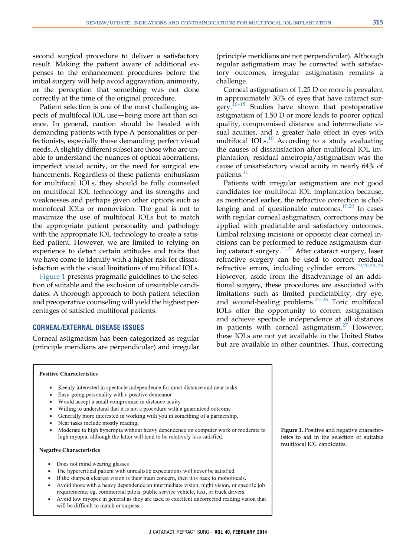second surgical procedure to deliver a satisfactory result. Making the patient aware of additional expenses to the enhancement procedures before the initial surgery will help avoid aggravation, animosity, or the perception that something was not done correctly at the time of the original procedure.

Patient selection is one of the most challenging aspects of multifocal IOL use—being more art than science. In general, caution should be heeded with demanding patients with type-A personalities or perfectionists, especially those demanding perfect visual needs. A slightly different subset are those who are unable to understand the nuances of optical aberrations, imperfect visual acuity, or the need for surgical enhancements. Regardless of these patients' enthusiasm for multifocal IOLs, they should be fully counseled on multifocal IOL technology and its strengths and weaknesses and perhaps given other options such as monofocal IOLs or monovision. The goal is not to maximize the use of multifocal IOLs but to match the appropriate patient personality and pathology with the appropriate IOL technology to create a satisfied patient. However, we are limited to relying on experience to detect certain attitudes and traits that we have come to identify with a higher risk for dissatisfaction with the visual limitations of multifocal IOLs.

Figure 1 presents pragmatic guidelines to the selection of suitable and the exclusion of unsuitable candidates. A thorough approach to both patient selection and preoperative counseling will yield the highest percentages of satisfied multifocal patients.

#### CORNEAL/EXTERNAL DISEASE ISSUES

Corneal astigmatism has been categorized as regular (principle meridians are perpendicular) and irregular (principle meridians are not perpendicular). Although regular astigmatism may be corrected with satisfactory outcomes, irregular astigmatism remains a challenge.

Corneal astigmatism of 1.25 D or more is prevalent in approximately 30% of eyes that have cataract surgery. $16-18$  $16-18$  Studies have shown that postoperative astigmatism of 1.50 D or more leads to poorer optical quality, compromised distance and intermediate visual acuities, and a greater halo effect in eyes with multifocal IOLs.<sup>[10](#page-7-0)</sup> According to a study evaluating the causes of dissatisfaction after multifocal IOL implantation, residual ametropia/astigmatism was the cause of unsatisfactory visual acuity in nearly 64% of patients.<sup>[11](#page-7-0)</sup>

Patients with irregular astigmatism are not good candidates for multifocal IOL implantation because, as mentioned earlier, the refractive correction is chal-lenging and of questionable outcomes.<sup>[19,20](#page-7-0)</sup> In cases with regular corneal astigmatism, corrections may be applied with predictable and satisfactory outcomes. Limbal relaxing incisions or opposite clear corneal incisions can be performed to reduce astigmatism during cataract surgery.[21,22](#page-7-0) After cataract surgery, laser refractive surgery can be used to correct residual refractive errors, including cylinder errors.<sup>[19,20,23](#page-7-0)-25</sup> However, aside from the disadvantage of an additional surgery, these procedures are associated with limitations such as limited predictability, dry eye, and wound-healing problems.<sup>24-[26](#page-8-0)</sup> Toric multifocal IOLs offer the opportunity to correct astigmatism and achieve spectacle independence at all distances in patients with corneal astigmatism. $27$  However, these IOLs are not yet available in the United States but are available in other countries. Thus, correcting

#### **Positive Characteristics**

- Keenly interested in spectacle independence for most distance and near tasks
- Easy-going personality with a positive demeanor
- Would accept a small compromise in distance acuity
- Willing to understand that it is not a procedure with a guaranteed outcome
- Generally more interested in working with you in something of a partnership,
- Near tasks include mostly reading,
- Moderate to high hyperopia without heavy dependence on computer work or moderate to high myopia, although the latter will tend to be relatively less satisfied.

#### **Negative Characteristics**

- Does not mind wearing glasses
- The hypercritical patient with unrealistic expectations will never be satisfied.
- If the sharpest clearest vision is their main concern, then it is back to monofocals.
- Avoid those with a heavy dependence on intermediate vision, night vision, or specific job requirements; eg, commercial pilots, public service vehicle, taxi, or truck drivers.
- Avoid low myopes in general as they are used to excellent uncorrected reading vision that will be difficult to match or surpass.

Figure 1. Positive and negative characteristics to aid in the selection of suitable multifocal IOL candidates.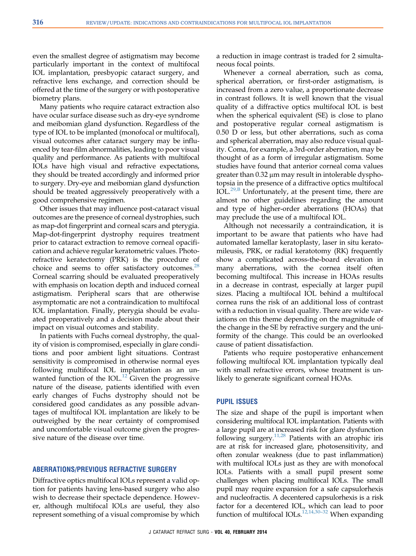even the smallest degree of astigmatism may become particularly important in the context of multifocal IOL implantation, presbyopic cataract surgery, and refractive lens exchange, and correction should be offered at the time of the surgery or with postoperative biometry plans.

Many patients who require cataract extraction also have ocular surface disease such as dry-eye syndrome and meibomian gland dysfunction. Regardless of the type of IOL to be implanted (monofocal or multifocal), visual outcomes after cataract surgery may be influenced by tear-film abnormalities, leading to poor visual quality and performance. As patients with multifocal IOLs have high visual and refractive expectations, they should be treated accordingly and informed prior to surgery. Dry-eye and meibomian gland dysfunction should be treated aggressively preoperatively with a good comprehensive regimen.

Other issues that may influence post-cataract visual outcomes are the presence of corneal dystrophies, such as map-dot fingerprint and corneal scars and pterygia. Map-dot-fingerprint dystrophy requires treatment prior to cataract extraction to remove corneal opacification and achieve regular keratometric values. Photorefractive keratectomy (PRK) is the procedure of choice and seems to offer satisfactory outcomes.<sup>[28](#page-8-0)</sup> Corneal scarring should be evaluated preoperatively with emphasis on location depth and induced corneal astigmatism. Peripheral scars that are otherwise asymptomatic are not a contraindication to multifocal IOL implantation. Finally, pterygia should be evaluated preoperatively and a decision made about their impact on visual outcomes and stability.

In patients with Fuchs corneal dystrophy, the quality of vision is compromised, especially in glare conditions and poor ambient light situations. Contrast sensitivity is compromised in otherwise normal eyes following multifocal IOL implantation as an unwanted function of the  $IOL<sup>12</sup>$  $IOL<sup>12</sup>$  $IOL<sup>12</sup>$  Given the progressive nature of the disease, patients identified with even early changes of Fuchs dystrophy should not be considered good candidates as any possible advantages of multifocal IOL implantation are likely to be outweighed by the near certainty of compromised and uncomfortable visual outcome given the progressive nature of the disease over time.

## ABERRATIONS/PREVIOUS REFRACTIVE SURGERY

Diffractive optics multifocal IOLs represent a valid option for patients having lens-based surgery who also wish to decrease their spectacle dependence. However, although multifocal IOLs are useful, they also represent something of a visual compromise by which

a reduction in image contrast is traded for 2 simultaneous focal points.

Whenever a corneal aberration, such as coma, spherical aberration, or first-order astigmatism, is increased from a zero value, a proportionate decrease in contrast follows. It is well known that the visual quality of a diffractive optics multifocal IOL is best when the spherical equivalent (SE) is close to plano and postoperative regular corneal astigmatism is 0.50 D or less, but other aberrations, such as coma and spherical aberration, may also reduce visual quality. Coma, for example, a 3rd-order aberration, may be thought of as a form of irregular astigmatism. Some studies have found that anterior corneal coma values greater than  $0.32 \mu m$  may result in intolerable dysphotopsia in the presence of a diffractive optics multifocal IOL[.29,B](#page-8-0) Unfortunately, at the present time, there are almost no other guidelines regarding the amount and type of higher-order aberrations (HOAs) that may preclude the use of a multifocal IOL.

Although not necessarily a contraindication, it is important to be aware that patients who have had automated lamellar keratoplasty, laser in situ keratomileusis, PRK, or radial keratotomy (RK) frequently show a complicated across-the-board elevation in many aberrations, with the cornea itself often becoming multifocal. This increase in HOAs results in a decrease in contrast, especially at larger pupil sizes. Placing a multifocal IOL behind a multifocal cornea runs the risk of an additional loss of contrast with a reduction in visual quality. There are wide variations on this theme depending on the magnitude of the change in the SE by refractive surgery and the uniformity of the change. This could be an overlooked cause of patient dissatisfaction.

Patients who require postoperative enhancement following multifocal IOL implantation typically deal with small refractive errors, whose treatment is unlikely to generate significant corneal HOAs.

#### PUPIL ISSUES

The size and shape of the pupil is important when considering multifocal IOL implantation. Patients with a large pupil are at increased risk for glare dysfunction following surgery.<sup>[11,28](#page-7-0)</sup> Patients with an atrophic iris are at risk for increased glare, photosensitivity, and often zonular weakness (due to past inflammation) with multifocal IOLs just as they are with monofocal IOLs. Patients with a small pupil present some challenges when placing multifocal IOLs. The small pupil may require expansion for a safe capsulorhexis and nucleofractis. A decentered capsulorhexis is a risk factor for a decentered IOL, which can lead to poor function of multifocal IOLs.<sup>12,14,30–32</sup> When expanding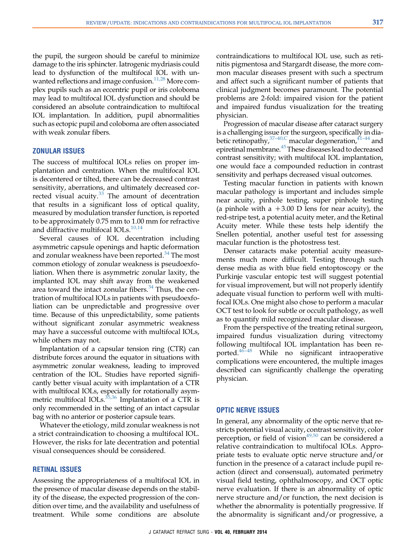the pupil, the surgeon should be careful to minimize damage to the iris sphincter. Iatrogenic mydriasis could lead to dysfunction of the multifocal IOL with unwanted reflections and image confusion.<sup>11,28</sup> More complex pupils such as an eccentric pupil or iris coloboma may lead to multifocal IOL dysfunction and should be considered an absolute contraindication to multifocal IOL implantation. In addition, pupil abnormalities such as ectopic pupil and coloboma are often associated with weak zonular fibers.

#### ZONULAR ISSUES

The success of multifocal IOLs relies on proper implantation and centration. When the multifocal IOL is decentered or tilted, there can be decreased contrast sensitivity, aberrations, and ultimately decreased corrected visual acuity. $33$  The amount of decentration that results in a significant loss of optical quality, measured by modulation transfer function, is reported to be approximately 0.75 mm to 1.00 mm for refractive and diffractive multifocal IOLs.<sup>[10,14](#page-7-0)</sup>

Several causes of IOL decentration including asymmetric capsule openings and haptic deformation and zonular weakness have been reported. $34$  The most common etiology of zonular weakness is pseudoexfoliation. When there is asymmetric zonular laxity, the implanted IOL may shift away from the weakened area toward the intact zonular fibers. $34$  Thus, the centration of multifocal IOLs in patients with pseudoexfoliation can be unpredictable and progressive over time. Because of this unpredictability, some patients without significant zonular asymmetric weakness may have a successful outcome with multifocal IOLs, while others may not.

Implantation of a capsular tension ring (CTR) can distribute forces around the equator in situations with asymmetric zonular weakness, leading to improved centration of the IOL. Studies have reported significantly better visual acuity with implantation of a CTR with multifocal IOLs, especially for rotationally asymmetric multifocal IOLs. $35,36$  Implantation of a CTR is only recommended in the setting of an intact capsular bag with no anterior or posterior capsule tears.

Whatever the etiology, mild zonular weakness is not a strict contraindication to choosing a multifocal IOL. However, the risks for late decentration and potential visual consequences should be considered.

## RETINAL ISSUES

Assessing the appropriateness of a multifocal IOL in the presence of macular disease depends on the stability of the disease, the expected progression of the condition over time, and the availability and usefulness of treatment. While some conditions are absolute

contraindications to multifocal IOL use, such as retinitis pigmentosa and Stargardt disease, the more common macular diseases present with such a spectrum and affect such a significant number of patients that clinical judgment becomes paramount. The potential problems are 2-fold: impaired vision for the patient and impaired fundus visualization for the treating physician.

Progression of macular disease after cataract surgery is a challenging issue for the surgeon, specifically in dia-betic retinopathy,<sup>37-[40,C](#page-8-0)</sup> macular degeneration,<sup>41-44</sup> and epiretinal membrane.<sup>45</sup> These diseases lead to decreased contrast sensitivity; with multifocal IOL implantation, one would face a compounded reduction in contrast sensitivity and perhaps decreased visual outcomes.

Testing macular function in patients with known macular pathology is important and includes simple near acuity, pinhole testing, super pinhole testing (a pinhole with a  $+3.00$  D lens for near acuity), the red-stripe test, a potential acuity meter, and the Retinal Acuity meter. While these tests help identify the Snellen potential, another useful test for assessing macular function is the photostress test.

Denser cataracts make potential acuity measurements much more difficult. Testing through such dense media as with blue field entoptoscopy or the Purkinje vascular entopic test will suggest potential for visual improvement, but will not properly identify adequate visual function to perform well with multifocal IOLs. One might also chose to perform a macular OCT test to look for subtle or occult pathology, as well as to quantify mild recognized macular disease.

From the perspective of the treating retinal surgeon, impaired fundus visualization during vitrectomy following multifocal IOL implantation has been reported.[46](#page-8-0)–<sup>48</sup> While no significant intraoperative complications were encountered, the multiple images described can significantly challenge the operating physician.

## OPTIC NERVE ISSUES

In general, any abnormality of the optic nerve that restricts potential visual acuity, contrast sensitivity, color perception, or field of vision $49,50$  can be considered a relative contraindication to multifocal IOLs. Appropriate tests to evaluate optic nerve structure and/or function in the presence of a cataract include pupil reaction (direct and consensual), automated perimetry visual field testing, ophthalmoscopy, and OCT optic nerve evaluation. If there is an abnormality of optic nerve structure and/or function, the next decision is whether the abnormality is potentially progressive. If the abnormality is significant and/or progressive, a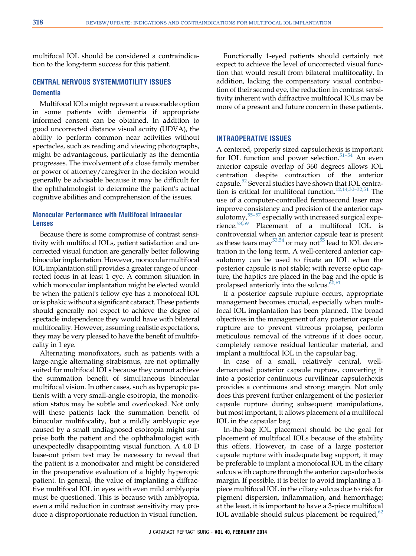multifocal IOL should be considered a contraindication to the long-term success for this patient.

## CENTRAL NERVOUS SYSTEM/MOTILITY ISSUES **Dementia**

Multifocal IOLs might represent a reasonable option in some patients with dementia if appropriate informed consent can be obtained. In addition to good uncorrected distance visual acuity (UDVA), the ability to perform common near activities without spectacles, such as reading and viewing photographs, might be advantageous, particularly as the dementia progresses. The involvement of a close family member or power of attorney/caregiver in the decision would generally be advisable because it may be difficult for the ophthalmologist to determine the patient's actual cognitive abilities and comprehension of the issues.

## Monocular Performance with Multifocal Intraocular Lenses

Because there is some compromise of contrast sensitivity with multifocal IOLs, patient satisfaction and uncorrected visual function are generally better following binocular implantation. However, monocular multifocal IOL implantation still provides a greater range of uncorrected focus in at least 1 eye. A common situation in which monocular implantation might be elected would be when the patient's fellow eye has a monofocal IOL or is phakic without a significant cataract. These patients should generally not expect to achieve the degree of spectacle independence they would have with bilateral multifocality. However, assuming realistic expectations, they may be very pleased to have the benefit of multifocality in 1 eye.

Alternating monofixators, such as patients with a large-angle alternating strabismus, are not optimally suited for multifocal IOLs because they cannot achieve the summation benefit of simultaneous binocular multifocal vision. In other cases, such as hyperopic patients with a very small-angle esotropia, the monofixation status may be subtle and overlooked. Not only will these patients lack the summation benefit of binocular multifocality, but a mildly amblyopic eye caused by a small undiagnosed esotropia might surprise both the patient and the ophthalmologist with unexpectedly disappointing visual function. A 4.0 D base-out prism test may be necessary to reveal that the patient is a monofixator and might be considered in the preoperative evaluation of a highly hyperopic patient. In general, the value of implanting a diffractive multifocal IOL in eyes with even mild amblyopia must be questioned. This is because with amblyopia, even a mild reduction in contrast sensitivity may produce a disproportionate reduction in visual function.

Functionally 1-eyed patients should certainly not expect to achieve the level of uncorrected visual function that would result from bilateral multifocality. In addition, lacking the compensatory visual contribution of their second eye, the reduction in contrast sensitivity inherent with diffractive multifocal IOLs may be more of a present and future concern in these patients.

#### INTRAOPERATIVE ISSUES

A centered, properly sized capsulorhexis is important for IOL function and power selection.<sup>[51](#page-8-0)–54</sup> An even anterior capsule overlap of 360 degrees allows IOL centration despite contraction of the anterior capsule.<sup>[52](#page-8-0)</sup> Several studies have shown that IOL centra-tion is critical for multifocal function.<sup>[12,14,30](#page-7-0)–32,51</sup> The use of a computer-controlled femtosecond laser may improve [consis](#page-8-0)tency and precision of the anterior capsulotomy, $55-57$  especially with increased surgical expe-rience.<sup>[58,59](#page-9-0)</sup> Placement of a multifocal IOL is controversial when an anterior capsule tear is present as these tears may  $53,54$  or may not  $55$  lead to IOL decentration in the long term. A well-centered anterior capsulotomy can be used to fixate an IOL when the posterior capsule is not stable; with reverse optic capture, the haptics are placed in the bag and the optic is prolapsed anteriorly into the sulcus. $60,61$ 

If a posterior capsule rupture occurs, appropriate management becomes crucial, especially when multifocal IOL implantation has been planned. The broad objectives in the management of any posterior capsule rupture are to prevent vitreous prolapse, perform meticulous removal of the vitreous if it does occur, completely remove residual lenticular material, and implant a multifocal IOL in the capsular bag.

In case of a small, relatively central, welldemarcated posterior capsule rupture, converting it into a posterior continuous curvilinear capsulorhexis provides a continuous and strong margin. Not only does this prevent further enlargement of the posterior capsule rupture during subsequent manipulations, but most important, it allows placement of a multifocal IOL in the capsular bag.

In-the-bag IOL placement should be the goal for placement of multifocal IOLs because of the stability this offers. However, in case of a large posterior capsule rupture with inadequate bag support, it may be preferable to implant a monofocal IOL in the ciliary sulcus with capture through the anterior capsulorhexis margin. If possible, it is better to avoid implanting a 1 piece multifocal IOL in the ciliary sulcus due to risk for pigment dispersion, inflammation, and hemorrhage; at the least, it is important to have a 3-piece multifocal IOL available should sulcus placement be required, $62$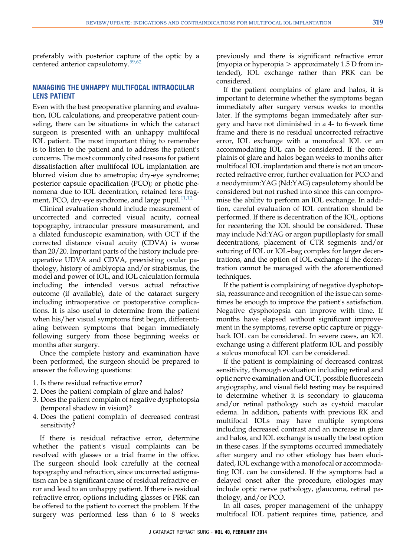preferably with posterior capture of the optic by a centered anterior capsulotomy.[59,62](#page-9-0)

## MANAGING THE UNHAPPY MULTIFOCAL INTRAOCULAR LENS PATIENT

Even with the best preoperative planning and evaluation, IOL calculations, and preoperative patient counseling, there can be situations in which the cataract surgeon is presented with an unhappy multifocal IOL patient. The most important thing to remember is to listen to the patient and to address the patient's concerns. The most commonly cited reasons for patient dissatisfaction after multifocal IOL implantation are blurred vision due to ametropia; dry-eye syndrome; posterior capsule opacification (PCO); or photic phenomena due to IOL decentration, retained lens frag-ment, PCO, dry-eye syndrome, and large pupil.<sup>[11,12](#page-7-0)</sup>

Clinical evaluation should include measurement of uncorrected and corrected visual acuity, corneal topography, intraocular pressure measurement, and a dilated funduscopic examination, with OCT if the corrected distance visual acuity (CDVA) is worse than 20/20. Important parts of the history include preoperative UDVA and CDVA, preexisting ocular pathology, history of amblyopia and/or strabismus, the model and power of IOL, and IOL calculation formula including the intended versus actual refractive outcome (if available), date of the cataract surgery including intraoperative or postoperative complications. It is also useful to determine from the patient when his/her visual symptoms first began, differentiating between symptoms that began immediately following surgery from those beginning weeks or months after surgery.

Once the complete history and examination have been performed, the surgeon should be prepared to answer the following questions:

- 1. Is there residual refractive error?
- 2. Does the patient complain of glare and halos?
- 3. Does the patient complain of negative dysphotopsia (temporal shadow in vision)?
- 4. Does the patient complain of decreased contrast sensitivity?

If there is residual refractive error, determine whether the patient's visual complaints can be resolved with glasses or a trial frame in the office. The surgeon should look carefully at the corneal topography and refraction, since uncorrected astigmatism can be a significant cause of residual refractive error and lead to an unhappy patient. If there is residual refractive error, options including glasses or PRK can be offered to the patient to correct the problem. If the surgery was performed less than 6 to 8 weeks

previously and there is significant refractive error (myopia or hyperopia  $>$  approximately 1.5 D from intended), IOL exchange rather than PRK can be considered.

If the patient complains of glare and halos, it is important to determine whether the symptoms began immediately after surgery versus weeks to months later. If the symptoms began immediately after surgery and have not diminished in a 4- to 6-week time frame and there is no residual uncorrected refractive error, IOL exchange with a monofocal IOL or an accommodating IOL can be considered. If the complaints of glare and halos began weeks to months after multifocal IOL implantation and there is not an uncorrected refractive error, further evaluation for PCO and a neodymium:YAG (Nd:YAG) capsulotomy should be considered but not rushed into since this can compromise the ability to perform an IOL exchange. In addition, careful evaluation of IOL centration should be performed. If there is decentration of the IOL, options for recentering the IOL should be considered. These may include Nd:YAG or argon pupilloplasty for small decentrations, placement of CTR segments and/or suturing of IOL or IOL–bag complex for larger decentrations, and the option of IOL exchange if the decentration cannot be managed with the aforementioned techniques.

If the patient is complaining of negative dysphotopsia, reassurance and recognition of the issue can sometimes be enough to improve the patient's satisfaction. Negative dysphotopsia can improve with time. If months have elapsed without significant improvement in the symptoms, reverse optic capture or piggyback IOL can be considered. In severe cases, an IOL exchange using a different platform IOL and possibly a sulcus monofocal IOL can be considered.

If the patient is complaining of decreased contrast sensitivity, thorough evaluation including retinal and optic nerve examination and OCT, possible fluorescein angiography, and visual field testing may be required to determine whether it is secondary to glaucoma and/or retinal pathology such as cystoid macular edema. In addition, patients with previous RK and multifocal IOLs may have multiple symptoms including decreased contrast and an increase in glare and halos, and IOL exchange is usually the best option in these cases. If the symptoms occurred immediately after surgery and no other etiology has been elucidated, IOL exchange with a monofocal or accommodating IOL can be considered. If the symptoms had a delayed onset after the procedure, etiologies may include optic nerve pathology, glaucoma, retinal pathology, and/or PCO.

In all cases, proper management of the unhappy multifocal IOL patient requires time, patience, and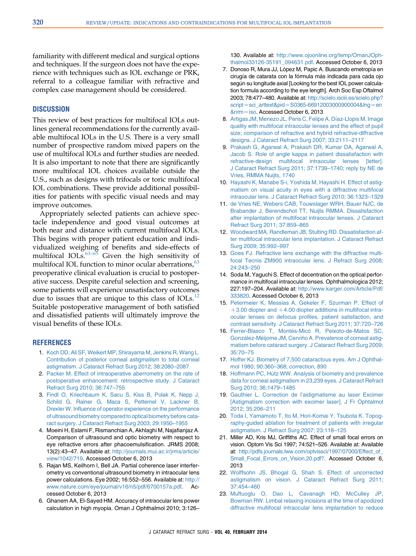<span id="page-7-0"></span>familiarity with different medical and surgical options and techniques. If the surgeon does not have the experience with techniques such as IOL exchange or PRK, referral to a colleague familiar with refractive and complex case management should be considered.

### **DISCUSSION**

This review of best practices for multifocal IOLs outlines general recommendations for the currently available multifocal IOLs in the U.S. There is a very small number of prospective random mixed papers on the use of multifocal IOLs and further studies are needed. It is also important to note that there are significantly more multifocal IOL choices available outside the U.S., such as designs with trifocals or toric multifocal IOL combinations. These provide additional possibilities for patients with specific visual needs and may improve outcomes.

Appropriately selected patients can achieve spectacle independence and good visual outcomes at both near and distance with current multifocal IOLs. This begins with proper patient education and individualized weighing of benefits and side-effects of multifocal IOLs.<sup>[63](#page-9-0)-65</sup> Given the high sensitivity of multifocal IOL function to minor ocular aberrations,<sup>[63](#page-9-0)</sup> preoperative clinical evaluation is crucial to postoperative success. Despite careful selection and screening, some patients will experience unsatisfactory outcomes due to issues that are unique to this class of IOLs. $^{12}$ Suitable postoperative management of both satisfied and dissatisfied patients will ultimately improve the visual benefits of these IOLs.

#### **REFERENCES**

- 1. [Koch DD, Ali SF, Weikert MP, Shirayama M, Jenkins R, Wang L.](http://refhub.elsevier.com/S0886-3350(13)01631-3/sref1) [Contribution of posterior corneal astigmatism to total corneal](http://refhub.elsevier.com/S0886-3350(13)01631-3/sref1) [astigmatism. J Cataract Refract Surg 2012; 38:2080–2087](http://refhub.elsevier.com/S0886-3350(13)01631-3/sref1)
- 2. [Packer M. Effect of intraoperative aberrometry on the rate of](http://refhub.elsevier.com/S0886-3350(13)01631-3/sref2) [postoperative enhancement: retrospective study. J Cataract](http://refhub.elsevier.com/S0886-3350(13)01631-3/sref2) [Refract Surg 2010; 36:747–755](http://refhub.elsevier.com/S0886-3350(13)01631-3/sref2)
- 3. [Findl O, Kriechbaum K, Sacu S, Kiss B, Polak K, Nepp J,](http://refhub.elsevier.com/S0886-3350(13)01631-3/sref3) [Schild G, Rainer G, Maca S, Petternel V, Lackner B,](http://refhub.elsevier.com/S0886-3350(13)01631-3/sref3) [Drexler W. Influence of operator experience on the performance](http://refhub.elsevier.com/S0886-3350(13)01631-3/sref3) [of ultrasound biometry compared to optical biometry before cata](http://refhub.elsevier.com/S0886-3350(13)01631-3/sref3)[ract surgery. J Cataract Refract Surg 2003; 29:1950–1955](http://refhub.elsevier.com/S0886-3350(13)01631-3/sref3)
- 4. Moeini H, Eslami F, Rismanchian A, Akhlaghi M, Najafianjaz A. Comparison of ultrasound and optic biometry with respect to eye refractive errors after phacoemulsification. JRMS 2008; 13(2):43–47. Available at: [http://journals.mui.ac.ir/jrms/article/](http://journals.mui.ac.ir/jrms/article/view/1042/719) [view/1042/719.](http://journals.mui.ac.ir/jrms/article/view/1042/719) Accessed October 6, 2013
- 5. Rajan MS, Keilhorn I, Bell JA. Partial coherence laser interferometry vs conventional ultrasound biometry in intraocular lens power calculations. Eye 2002; 16:552–556. Available at: [http://](http://www.nature.com/eye/journal/v16/n5/pdf/6700157a.pdf) [www.nature.com/eye/journal/v16/n5/pdf/6700157a.pdf](http://www.nature.com/eye/journal/v16/n5/pdf/6700157a.pdf). Accessed October 6, 2013
- 6. Ghanem AA, El-Sayed HM. Accuracy of intraocular lens power calculation in high myopia. Oman J Ophthalmol 2010; 3:126–

130. Available at: [http://www.ojoonline.org/temp/OmanJOph](http://www.ojoonline.org/temp/OmanJOphthalmol33126-35191_094631.pdf)[thalmol33126-35191\\_094631.pdf](http://www.ojoonline.org/temp/OmanJOphthalmol33126-35191_094631.pdf). Accessed October 6, 2013

- 7. Donoso R, Mura JJ, López M, Papic A. Buscando emetropía en cirugía de catarata con la fórmula más indicada para cada ojo según su longitude axial [Looking for the best IOL power calculation formula according to the eye length]. Arch Soc Esp Oftalmol 2003; 78:477–480. Available at: [http://scielo.isciii.es/scielo.php?](http://scielo.isciii.es/scielo.php?script=sci_arttext%26pid=S0365-66912003000900004%26lng=en%26nrm=iso)  $script=sci_arttext&pid=SO365-66912003000900004&lag=en$ [&nrm](http://scielo.isciii.es/scielo.php?script=sci_arttext%26pid=S0365-66912003000900004%26lng=en%26nrm=iso)=iso. Accessed October 6, 2013
- 8. [Artigas JM, Menezo JL, Peris C, Felipe A, D](http://refhub.elsevier.com/S0886-3350(13)01631-3/sref8)í[az-Llopis M. Image](http://refhub.elsevier.com/S0886-3350(13)01631-3/sref8) [quality with multifocal intraocular lenses and the effect of pupil](http://refhub.elsevier.com/S0886-3350(13)01631-3/sref8) [size; comparison of refractive and hybrid refractive-diffractive](http://refhub.elsevier.com/S0886-3350(13)01631-3/sref8) [designs. J Cataract Refract Surg 2007; 33:2111–2117](http://refhub.elsevier.com/S0886-3350(13)01631-3/sref8)
- 9. [Prakash G, Agarwal A, Prakash DR, Kumar DA, Agarwal A,](http://refhub.elsevier.com/S0886-3350(13)01631-3/sref9) [Jacob S. Role of angle kappa in patient dissatisfaction with](http://refhub.elsevier.com/S0886-3350(13)01631-3/sref9) [refractive-design multifocal intraocular lenses \[letter\].](http://refhub.elsevier.com/S0886-3350(13)01631-3/sref9) [J Cataract Refract Surg 2011; 37:1739–1740; reply by NE de](http://refhub.elsevier.com/S0886-3350(13)01631-3/sref9) [Vries, RMMA Nuijts, 1740](http://refhub.elsevier.com/S0886-3350(13)01631-3/sref9)
- 10. [Hayashi K, Manabe S-i, Yoshida M, Hayashi H. Effect of astig](http://refhub.elsevier.com/S0886-3350(13)01631-3/sref10)[matism on visual acuity in eyes with a diffractive multifocal](http://refhub.elsevier.com/S0886-3350(13)01631-3/sref10) [intraocular lens. J Cataract Refract Surg 2010; 36:1323–1329](http://refhub.elsevier.com/S0886-3350(13)01631-3/sref10)
- 11. [de Vries NE, Webers CAB, Touwslager WRH, Bauer NJC, de](http://refhub.elsevier.com/S0886-3350(13)01631-3/sref11) [Brabander J, Berendschot TT, Nuijts RMMA. Dissatisfaction](http://refhub.elsevier.com/S0886-3350(13)01631-3/sref11) [after implantation of multifocal intraocular lenses. J Cataract](http://refhub.elsevier.com/S0886-3350(13)01631-3/sref11) [Refract Surg 2011; 37:859–865](http://refhub.elsevier.com/S0886-3350(13)01631-3/sref11)
- 12. [Woodward MA, Randleman JB, Stulting RD. Dissatisfaction af](http://refhub.elsevier.com/S0886-3350(13)01631-3/sref12)[ter multifocal intraocular lens implantation. J Cataract Refract](http://refhub.elsevier.com/S0886-3350(13)01631-3/sref12) [Surg 2009; 35:992–997](http://refhub.elsevier.com/S0886-3350(13)01631-3/sref12)
- 13. [Goes FJ. Refractive lens exchange with the diffractive multi](http://refhub.elsevier.com/S0886-3350(13)01631-3/sref13)[focal Tecnis ZM900 intraocular lens. J Refract Surg 2008;](http://refhub.elsevier.com/S0886-3350(13)01631-3/sref13) [24:243–250](http://refhub.elsevier.com/S0886-3350(13)01631-3/sref13)
- 14. Soda M, Yaguchi S. Effect of decentration on the optical performance in multifocal intraocular lenses. Ophthalmologica 2012; 227:197–204. Available at: [http://www.karger.com/Article/Pdf/](http://www.karger.com/Article/Pdf/333820) [333820](http://www.karger.com/Article/Pdf/333820). Accessed October 6, 2013
- 15. [Petermeier K, Messias A, Gekeler F, Szurman P. Effect of](http://refhub.elsevier.com/S0886-3350(13)01631-3/sref15)  $+3.00$  diopter and  $+4.00$  diopter additions in multifocal intra[ocular lenses on defocus profiles, patient satisfaction, and](http://refhub.elsevier.com/S0886-3350(13)01631-3/sref15) [contrast sensitivity. J Cataract Refract Surg 2011; 37:720–726](http://refhub.elsevier.com/S0886-3350(13)01631-3/sref15)
- 16. [Ferrer-Blasco T, Mont](http://refhub.elsevier.com/S0886-3350(13)01631-3/sref16)é[s-Mic](http://refhub.elsevier.com/S0886-3350(13)01631-3/sref16)ó R, Peixoto-de-Matos SC, González-Méijome JM, Cerviñ[o A. Prevalence of corneal astig](http://refhub.elsevier.com/S0886-3350(13)01631-3/sref16) [matism before cataract surgery. J Cataract Refract Surg 2009;](http://refhub.elsevier.com/S0886-3350(13)01631-3/sref16) [35:70–75](http://refhub.elsevier.com/S0886-3350(13)01631-3/sref16)
- 17. [Hoffer KJ. Biometry of 7,500 cataractous eyes. Am J Ophthal](http://refhub.elsevier.com/S0886-3350(13)01631-3/sref17)[mol 1980; 90:360–368; correction, 890](http://refhub.elsevier.com/S0886-3350(13)01631-3/sref17)
- 18. [Hoffmann PC, H](http://refhub.elsevier.com/S0886-3350(13)01631-3/sref18)ü[tz WW. Analysis of biometry and prevalence](http://refhub.elsevier.com/S0886-3350(13)01631-3/sref18) [data for corneal astigmatism in 23,239 eyes. J Cataract Refract](http://refhub.elsevier.com/S0886-3350(13)01631-3/sref18) [Surg 2010; 36:1479–1485](http://refhub.elsevier.com/S0886-3350(13)01631-3/sref18)
- 19. [Gauthier L. Correction de l'astigmatisme au laser Excimer](http://refhub.elsevier.com/S0886-3350(13)01631-3/sref19) [\[Astigmatism correction with excimer laser\]. J Fr Ophtalmol](http://refhub.elsevier.com/S0886-3350(13)01631-3/sref19) [2012; 35:206–211](http://refhub.elsevier.com/S0886-3350(13)01631-3/sref19)
- 20. [Toda I, Yamamoto T, Ito M, Hori-Komai Y, Tsubota K. Topog](http://refhub.elsevier.com/S0886-3350(13)01631-3/sref20)[raphy-guided ablation for treatment of patients with irregular](http://refhub.elsevier.com/S0886-3350(13)01631-3/sref20) [astigmatism. J Refract Surg 2007; 23:118–125](http://refhub.elsevier.com/S0886-3350(13)01631-3/sref20)
- 21. Miller AD, Kris MJ, Griffiths AC. Effect of small focal errors on vision. Optom Vis Sci 1997; 74:521–526. Available at: Available at: [http://pdfs.journals.lww.com/optvissci/1997/07000/Effect\\_of\\_](http://pdfs.journals.lww.com/optvissci/1997/07000/Effect_of_Small_Focal_Errors_on_Vision.20.pdf?) [Small\\_Focal\\_Errors\\_on\\_Vision.20.pdf?.](http://pdfs.journals.lww.com/optvissci/1997/07000/Effect_of_Small_Focal_Errors_on_Vision.20.pdf?) Accessed October 6, 2013
- 22. [Wolffsohn JS, Bhogal G, Shah S. Effect of uncorrected](http://refhub.elsevier.com/S0886-3350(13)01631-3/sref22) [astigmatism on vision. J Cataract Refract Surg 2011;](http://refhub.elsevier.com/S0886-3350(13)01631-3/sref22) [37:454–460](http://refhub.elsevier.com/S0886-3350(13)01631-3/sref22)
- 23. [Muftuoglu O, Dao L, Cavanagh HD, McCulley JP,](http://refhub.elsevier.com/S0886-3350(13)01631-3/sref23) [Bowman RW. Limbal relaxing incisions at the time of apodized](http://refhub.elsevier.com/S0886-3350(13)01631-3/sref23) [diffractive multifocal intraocular lens implantation to reduce](http://refhub.elsevier.com/S0886-3350(13)01631-3/sref23)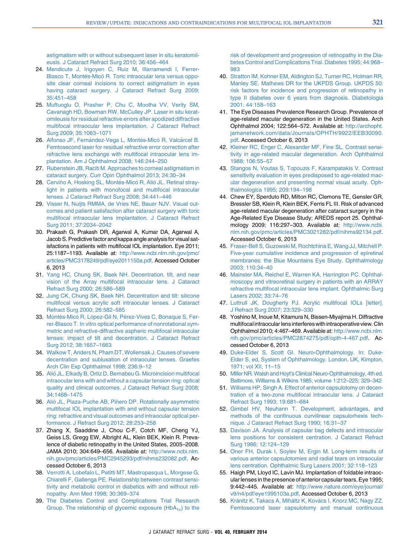<span id="page-8-0"></span>[astigmatism with or without subsequent laser in situ keratomil](http://refhub.elsevier.com/S0886-3350(13)01631-3/sref23)[eusis. J Cataract Refract Surg 2010; 36:456–464](http://refhub.elsevier.com/S0886-3350(13)01631-3/sref23)

- 24. [Mendicute J, Irigoyen C, Ruiz M, Illarramendi I, Ferrer-](http://refhub.elsevier.com/S0886-3350(13)01631-3/sref24)Blasco T, Montés-Micó R. Toric intraocular lens versus oppo[site clear corneal incisions to correct astigmatism in eyes](http://refhub.elsevier.com/S0886-3350(13)01631-3/sref24) [having cataract surgery. J Cataract Refract Surg 2009;](http://refhub.elsevier.com/S0886-3350(13)01631-3/sref24) [35:451–458](http://refhub.elsevier.com/S0886-3350(13)01631-3/sref24)
- 25. [Muftuoglu O, Prasher P, Chu C, Mootha VV, Verity SM,](http://refhub.elsevier.com/S0886-3350(13)01631-3/sref25) [Cavanagh HD, Bowman RW, McCulley JP. Laser in situ kerat](http://refhub.elsevier.com/S0886-3350(13)01631-3/sref25)[omileusis for residual refractive errors after apodized diffractive](http://refhub.elsevier.com/S0886-3350(13)01631-3/sref25) [multifocal intraocular lens implantation. J Cataract Refract](http://refhub.elsevier.com/S0886-3350(13)01631-3/sref25) [Surg 2009; 35:1063–1071](http://refhub.elsevier.com/S0886-3350(13)01631-3/sref25)
- 26. Alfonso JF, Fernández-Vega L, Montés-Micó [R, Valc](http://refhub.elsevier.com/S0886-3350(13)01631-3/sref26)á[rcel B.](http://refhub.elsevier.com/S0886-3350(13)01631-3/sref26) [Femtosecond laser for residual refractive error correction after](http://refhub.elsevier.com/S0886-3350(13)01631-3/sref26) [refractive lens exchange with multifocal intraocular lens im](http://refhub.elsevier.com/S0886-3350(13)01631-3/sref26)[plantation. Am J Ophthalmol 2008; 146:244–250](http://refhub.elsevier.com/S0886-3350(13)01631-3/sref26)
- 27. [Rubenstein JB, Raciti M. Approaches to corneal astigmatism in](http://refhub.elsevier.com/S0886-3350(13)01631-3/sref27) [cataract surgery. Curr Opin Ophthalmol 2013; 24:30–34](http://refhub.elsevier.com/S0886-3350(13)01631-3/sref27)
- 28. Cerviño A, Hosking SL, Monté[s-Mic](http://refhub.elsevier.com/S0886-3350(13)01631-3/sref28)ó R, Alió JL. Retinal stray[light in patients with monofocal and multifocal intraocular](http://refhub.elsevier.com/S0886-3350(13)01631-3/sref28) [lenses. J Cataract Refract Surg 2008; 34:441–446](http://refhub.elsevier.com/S0886-3350(13)01631-3/sref28)
- 29. [Visser N, Nuijts RMMA, de Vries NE, Bauer NJV. Visual out](http://refhub.elsevier.com/S0886-3350(13)01631-3/sref29)[comes and patient satisfaction after cataract surgery with toric](http://refhub.elsevier.com/S0886-3350(13)01631-3/sref29) [multifocal intraocular lens implantation. J Cataract Refract](http://refhub.elsevier.com/S0886-3350(13)01631-3/sref29) [Surg 2011; 37:2034–2042](http://refhub.elsevier.com/S0886-3350(13)01631-3/sref29)
- 30. Prakash G, Prakash DR, Agarwal A, Kumar DA, Agarwal A, Jacob S. Predictive factor and kappa angle analysisfor visual satisfactions in patients with multifocal IOL implantation. Eye 2011; 25:1187–1193. Available at: [http://www.ncbi.nlm.nih.gov/pmc/](http://www.ncbi.nlm.nih.gov/pmc/articles/PMC3178249/pdf/eye2011150a.pdf) [articles/PMC3178249/pdf/eye2011150a.pdf](http://www.ncbi.nlm.nih.gov/pmc/articles/PMC3178249/pdf/eye2011150a.pdf). Accessed October 6, 2013
- 31. [Yang HC, Chung SK, Baek NH. Decentration, tilt, and near](http://refhub.elsevier.com/S0886-3350(13)01631-3/sref31) [vision of the Array multifocal intraocular lens. J Cataract](http://refhub.elsevier.com/S0886-3350(13)01631-3/sref31) [Refract Surg 2000; 26:586–589](http://refhub.elsevier.com/S0886-3350(13)01631-3/sref31)
- 32. [Jung CK, Chung SK, Baek NH. Decentration and tilt: silicone](http://refhub.elsevier.com/S0886-3350(13)01631-3/sref32) [multifocal versus acrylic soft intraocular lenses. J Cataract](http://refhub.elsevier.com/S0886-3350(13)01631-3/sref32) [Refract Surg 2000; 26:582–585](http://refhub.elsevier.com/S0886-3350(13)01631-3/sref32)
- 33. [Mont](http://refhub.elsevier.com/S0886-3350(13)01631-3/sref33)é[s-Mic](http://refhub.elsevier.com/S0886-3350(13)01631-3/sref33)ó [R, L](http://refhub.elsevier.com/S0886-3350(13)01631-3/sref33)ópez-Gil N, Pérez-Vives C, Bonaque S, Fer[rer-Blasco T. In vitro optical performance of nonrotational sym](http://refhub.elsevier.com/S0886-3350(13)01631-3/sref33)[metric and refractive-diffractive aspheric multifocal intraocular](http://refhub.elsevier.com/S0886-3350(13)01631-3/sref33) [lenses: impact of tilt and decentration. J Cataract Refract](http://refhub.elsevier.com/S0886-3350(13)01631-3/sref33) [Surg 2012; 38:1657–1663](http://refhub.elsevier.com/S0886-3350(13)01631-3/sref33)
- 34. [Walkow T, Anders N, Pham DT, Wollensak J. Causes of severe](http://refhub.elsevier.com/S0886-3350(13)01631-3/sref34) [decentration and subluxation of intraocular lenses. Graefes](http://refhub.elsevier.com/S0886-3350(13)01631-3/sref34) [Arch Clin Exp Ophthalmol 1998; 236:9–12](http://refhub.elsevier.com/S0886-3350(13)01631-3/sref34)
- 35. [Ali](http://refhub.elsevier.com/S0886-3350(13)01631-3/sref35)ó [JL, Elkady B, Ortiz D, Bernabeu G. Microincision multifocal](http://refhub.elsevier.com/S0886-3350(13)01631-3/sref35) [intraocular lens with and without a capsular tension ring: optical](http://refhub.elsevier.com/S0886-3350(13)01631-3/sref35) [quality and clinical outcomes. J Cataract Refract Surg 2008;](http://refhub.elsevier.com/S0886-3350(13)01631-3/sref35) [34:1468–1475](http://refhub.elsevier.com/S0886-3350(13)01631-3/sref35)
- 36. [Ali](http://refhub.elsevier.com/S0886-3350(13)01631-3/sref36)ó [JL, Plaza-Puche AB, Pi](http://refhub.elsevier.com/S0886-3350(13)01631-3/sref36)ñero DP. Rotationally asymmetric [multifocal IOL implantation with and without capsular tension](http://refhub.elsevier.com/S0886-3350(13)01631-3/sref36) [ring: refractive and visual outcomes and intraocular optical per](http://refhub.elsevier.com/S0886-3350(13)01631-3/sref36)[formance. J Refract Surg 2012; 28:253–258](http://refhub.elsevier.com/S0886-3350(13)01631-3/sref36)
- 37. Zhang X, Saaddine J, Chou C-F, Cotch MF, Cheng YJ, Geiss LS, Gregg EW, Albright AL, Klein BEK, Klein R. Prevalence of diabetic retinopathy in the United States, 2005–2008. JAMA 2010; 304:649–656. Available at: [http://www.ncbi.nlm.](http://www.ncbi.nlm.nih.gov/pmc/articles/PMC2945293/pdf/nihms232082.pdf) [nih.gov/pmc/articles/PMC2945293/pdf/nihms232082.pdf](http://www.ncbi.nlm.nih.gov/pmc/articles/PMC2945293/pdf/nihms232082.pdf). Accessed October 6, 2013
- 38. [Verrotti A, Lobefalo L, Petitti MT, Mastropasqua L, Morgese G,](http://refhub.elsevier.com/S0886-3350(13)01631-3/sref38) [Chiarelli F, Gallenga PE. Relationship between contrast sensi](http://refhub.elsevier.com/S0886-3350(13)01631-3/sref38)[tivity and metabolic control in diabetics with and without reti](http://refhub.elsevier.com/S0886-3350(13)01631-3/sref38)[nopathy. Ann Med 1998; 30:369–374](http://refhub.elsevier.com/S0886-3350(13)01631-3/sref38)
- 39. [The Diabetes Control and Complications Trial Research](http://refhub.elsevier.com/S0886-3350(13)01631-3/sref39) Group. The relationship of glycemic exposure ( $HbA_{1c}$ ) to the

[risk of development and progression of retinopathy in the Dia](http://refhub.elsevier.com/S0886-3350(13)01631-3/sref39)[betes Control and Complications Trial. Diabetes 1995; 44:968–](http://refhub.elsevier.com/S0886-3350(13)01631-3/sref39) [983](http://refhub.elsevier.com/S0886-3350(13)01631-3/sref39)

- 40. [Stratton IM, Kohner EM, Aldington SJ, Turner RC, Holman RR,](http://refhub.elsevier.com/S0886-3350(13)01631-3/sref40) [Manley SE. Mathews DR for the UKPDS Group. UKPDS 50:](http://refhub.elsevier.com/S0886-3350(13)01631-3/sref40) [risk factors for incidence and progression of retinopathy in](http://refhub.elsevier.com/S0886-3350(13)01631-3/sref40) [type II diabetes over 6 years from diagnosis. Diabetologia](http://refhub.elsevier.com/S0886-3350(13)01631-3/sref40) [2001; 44:158–163](http://refhub.elsevier.com/S0886-3350(13)01631-3/sref40)
- 41. The Eye Diseases Prevalence Research Group. Prevalence of age-related macular degeneration in the United States. Arch Ophthalmol 2004; 122:564–572. Available at: [http://archopht.](http://archopht.jamanetwork.com/data/Journals/OPHTH/9922/EEB30090.pdf) [jamanetwork.com/data/Journals/OPHTH/9922/EEB30090.](http://archopht.jamanetwork.com/data/Journals/OPHTH/9922/EEB30090.pdf) [pdf](http://archopht.jamanetwork.com/data/Journals/OPHTH/9922/EEB30090.pdf). Accessed October 6, 2013
- 42. [Kleiner RC, Enger C, Alexander MF, Fine SL. Contrast sensi](http://refhub.elsevier.com/S0886-3350(13)01631-3/sref42)[tivity in age-related macular degeneration. Arch Ophthalmol](http://refhub.elsevier.com/S0886-3350(13)01631-3/sref42) [1988; 106:55–57](http://refhub.elsevier.com/S0886-3350(13)01631-3/sref42)
- 43. [Stangos N, Voutas S, Topouzis F, Karampatakis V. Contrast](http://refhub.elsevier.com/S0886-3350(13)01631-3/sref43) [sensitivity evaluation in eyes predisposed to age-related mac](http://refhub.elsevier.com/S0886-3350(13)01631-3/sref43)[ular degeneration and presenting normal visual acuity. Oph](http://refhub.elsevier.com/S0886-3350(13)01631-3/sref43)[thalmologica 1995; 209:194–198](http://refhub.elsevier.com/S0886-3350(13)01631-3/sref43)
- 44. Chew EY, Sperduto RD, Milton RC, Clemons TE, Gensler GR, Bressler SB, Klein R, Klein BEK, Ferris FL III. Risk of advanced age-related macular degeneration after cataract surgery in the Age-Related Eye Disease Study; AREDS report 25. Ophthalmology 2009; 116:297–303. Available at: [http://www.ncbi.](http://www.ncbi.nlm.nih.gov/pmc/articles/PMC3021282/pdf/nihms92134.pdf) [nlm.nih.gov/pmc/articles/PMC3021282/pdf/nihms92134.pdf.](http://www.ncbi.nlm.nih.gov/pmc/articles/PMC3021282/pdf/nihms92134.pdf) Accessed October 6, 2013
- 45. [Fraser-Bell S, Guzowski M, Rochtchina E, Wang JJ, Mitchell P.](http://refhub.elsevier.com/S0886-3350(13)01631-3/sref45) [Five-year cumulative incidence and progression of epiretinal](http://refhub.elsevier.com/S0886-3350(13)01631-3/sref45) [membranes: the Blue Mountains Eye Study. Ophthalmology](http://refhub.elsevier.com/S0886-3350(13)01631-3/sref45) [2003; 110:34–40](http://refhub.elsevier.com/S0886-3350(13)01631-3/sref45)
- 46. [Mainster MA, Reichel E, Warren KA, Harrington PC. Ophthal](http://refhub.elsevier.com/S0886-3350(13)01631-3/sref46)[moscopy and vitreoretinal surgery in patients with an ARRAY](http://refhub.elsevier.com/S0886-3350(13)01631-3/sref46) [refractive multifocal intraocular lens implant. Ophthalmic Surg](http://refhub.elsevier.com/S0886-3350(13)01631-3/sref46) [Lasers 2002; 33:74–76](http://refhub.elsevier.com/S0886-3350(13)01631-3/sref46)
- 47. [Luttrull JK, Dougherty PJ. Acrylic multifocal IOLs \[letter\].](http://refhub.elsevier.com/S0886-3350(13)01631-3/sref47) [J Refract Surg 2007; 23:329–330](http://refhub.elsevier.com/S0886-3350(13)01631-3/sref47)
- 48. Yoshino M, Inoue M, Kitamura N, Bissen-Miyajima H. Diffractive multifocal intraocular lens interferes with intraoperative view. Clin Ophthalmol 2010; 4:467–469. Available at: [http://www.ncbi.nlm.](http://www.ncbi.nlm.nih.gov/pmc/articles/PMC2874275/pdf/opth-4-467.pdf) [nih.gov/pmc/articles/PMC2874275/pdf/opth-4-467.pdf.](http://www.ncbi.nlm.nih.gov/pmc/articles/PMC2874275/pdf/opth-4-467.pdf) Accessed October 6, 2013
- 49. [Duke-Elder S, Scott GI. Neuro-Ophthalmology. In: Duke-](http://refhub.elsevier.com/S0886-3350(13)01631-3/sref49)[Elder S, ed, System of Ophthalmology. London, UK, Kimpton,](http://refhub.elsevier.com/S0886-3350(13)01631-3/sref49) [1971; vol XII, 11–15](http://refhub.elsevier.com/S0886-3350(13)01631-3/sref49)
- 50. [Miller NR.Walsh and Hoyt's Clinical Neuro-Ophthalmology, 4th ed.](http://refhub.elsevier.com/S0886-3350(13)01631-3/sref50) [Baltimore, Williams & Wilkins 1985; volume 1:212–225; 329–342](http://refhub.elsevier.com/S0886-3350(13)01631-3/sref50)
- 51. [Williams HP, Singh A. Effect of anterior capsulotomy on decen](http://refhub.elsevier.com/S0886-3350(13)01631-3/sref51)[tration of a two-zone multifocal intraocular lens. J Cataract](http://refhub.elsevier.com/S0886-3350(13)01631-3/sref51) [Refract Surg 1993; 19:681–684](http://refhub.elsevier.com/S0886-3350(13)01631-3/sref51)
- 52. [Gimbel HV, Neuhann T. Development, advantages, and](http://refhub.elsevier.com/S0886-3350(13)01631-3/sref52) [methods of the continuous curvilinear capsulorhexis tech](http://refhub.elsevier.com/S0886-3350(13)01631-3/sref52)[nique. J Cataract Refract Surg 1990; 16:31–37](http://refhub.elsevier.com/S0886-3350(13)01631-3/sref52)
- 53. [Davison JA. Analysis of capsular bag defects and intraocular](http://refhub.elsevier.com/S0886-3350(13)01631-3/sref53) [lens positions for consistent centration. J Cataract Refract](http://refhub.elsevier.com/S0886-3350(13)01631-3/sref53) [Surg 1986; 12:124–129](http://refhub.elsevier.com/S0886-3350(13)01631-3/sref53)
- 54. [Oner FH, Durak I, Soylev M, Ergin M. Long-term results of](http://refhub.elsevier.com/S0886-3350(13)01631-3/sref54) [various anterior capsulotomies and radial tears on intraocular](http://refhub.elsevier.com/S0886-3350(13)01631-3/sref54) [lens centration. Ophthalmic Surg Lasers 2001; 32:118–123](http://refhub.elsevier.com/S0886-3350(13)01631-3/sref54)
- 55. Haigh PM, Lloyd IC, Lavin MJ. Implantation of foldable intraocular lenses in the presence of anterior capsular tears. Eye 1995; 9:442–445. Available at: [http://www.nature.com/eye/journal/](http://www.nature.com/eye/journal/v9/n4/pdf/eye1995103a.pdf) [v9/n4/pdf/eye1995103a.pdf.](http://www.nature.com/eye/journal/v9/n4/pdf/eye1995103a.pdf) Accessed October 6, 2013
- 56. Kránitz K, Takacs A, Miháltz K, Kovács I, Knorz MC, Nagy ZZ. [Femtosecond laser capsulotomy and manual continuous](http://refhub.elsevier.com/S0886-3350(13)01631-3/sref56)